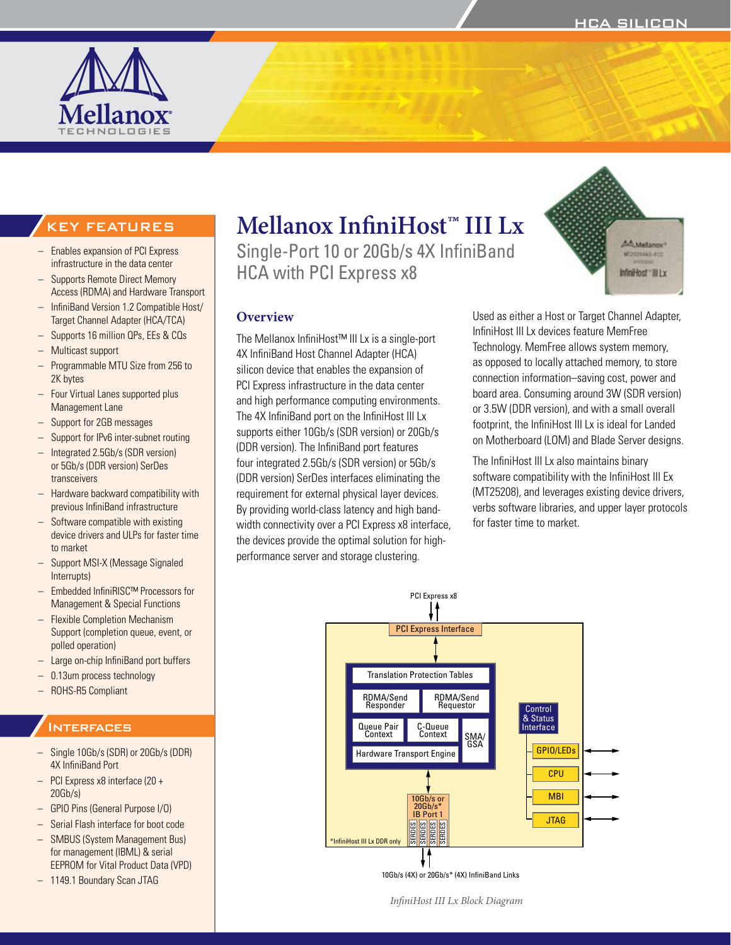

# **Mellanox InfiniHost™ III Lx**

Single-Port 10 or 20Gb/s 4X InfiniBand HCA with PCI Express x8

4X InfiniBand Host Channel Adapter (HCA)

and high performance computing environments. The 4X InfiniBand port on the InfiniHost III Lx supports either 10Gb/s (SDR version) or 20Gb/s (DDR version). The InfiniBand port features four integrated 2.5Gb/s (SDR version) or 5Gb/s (DDR version) SerDes interfaces eliminating the requirement for external physical layer devices. By providing world-class latency and high bandwidth connectivity over a PCI Express x8 interface, the devices provide the optimal solution for highperformance server and storage clustering.

**Overview**



## KEY FEATURES

- Enables expansion of PCI Express infrastructure in the data center
- Supports Remote Direct Memory Access (RDMA) and Hardware Transport
- InfiniBand Version 1.2 Compatible Host/ Target Channel Adapter (HCA/TCA)
- Supports 16 million QPs, EEs & CQs
- Multicast support
- Programmable MTU Size from 256 to 2K bytes
- Four Virtual Lanes supported plus Management Lane
- Support for 2GB messages
- Support for IPv6 inter-subnet routing
- Integrated 2.5Gb/s (SDR version) or 5Gb/s (DDR version) SerDes transceivers
- Hardware backward compatibility with previous InfiniBand infrastructure
- Software compatible with existing device drivers and ULPs for faster time to market
- Support MSI-X (Message Signaled Interrupts)
- Embedded InfiniRISC™ Processors for Management & Special Functions
- Flexible Completion Mechanism Support (completion queue, event, or polled operation)
- Large on-chip InfiniBand port buffers
- 0.13um process technology
- ROHS-R5 Compliant

## **INTERFACES**

- Single 10Gb/s (SDR) or 20Gb/s (DDR) 4X InfiniBand Port
- PCI Express x8 interface (20 + 20Gb/s)
- GPIO Pins (General Purpose I/O)
- Serial Flash interface for boot code
- SMBUS (System Management Bus) for management (IBML) & serial EEPROM for Vital Product Data (VPD)
- 1149.1 Boundary Scan JTAG

#### The Mellanox InfiniHost™ III Lx is a single-port silicon device that enables the expansion of PCI Express infrastructure in the data center Used as either a Host or Target Channel Adapter, InfiniHost III Lx devices feature MemFree Technology. MemFree allows system memory, as opposed to locally attached memory, to store connection information–saving cost, power and

board area. Consuming around 3W (SDR version) or 3.5W (DDR version), and with a small overall footprint, the InfiniHost III Lx is ideal for Landed on Motherboard (LOM) and Blade Server designs.

The InfiniHost III Lx also maintains binary software compatibility with the InfiniHost III Ex (MT25208), and leverages existing device drivers, verbs software libraries, and upper layer protocols for faster time to market.



10Gb/s (4X) or 20Gb/s\* (4X) InfiniBand Links

*InfiniHost III Lx Block Diagram*